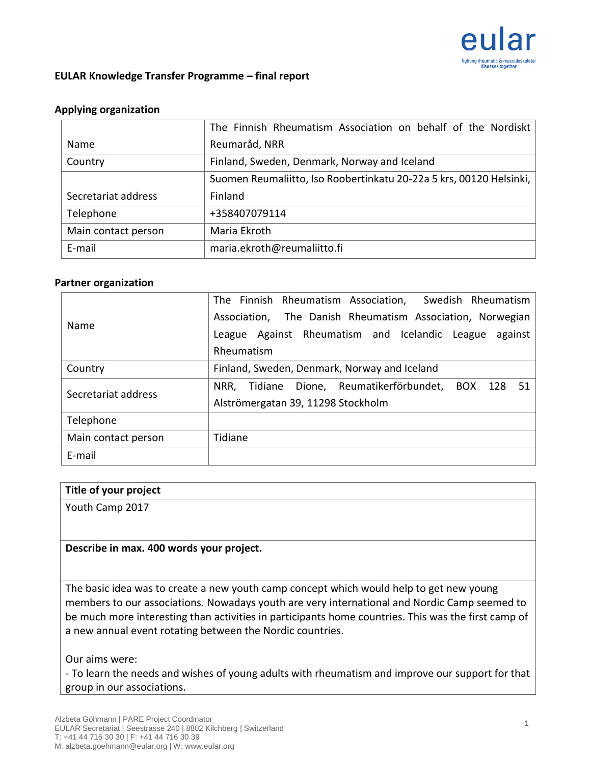

## **EULAR Knowledge Transfer Programme – final report**

### **Applying organization**

|                     | The Finnish Rheumatism Association on behalf of the Nordiskt        |  |  |  |  |
|---------------------|---------------------------------------------------------------------|--|--|--|--|
| Name                | Reumaråd, NRR                                                       |  |  |  |  |
| Country             | Finland, Sweden, Denmark, Norway and Iceland                        |  |  |  |  |
|                     | Suomen Reumaliitto, Iso Roobertinkatu 20-22a 5 krs, 00120 Helsinki, |  |  |  |  |
| Secretariat address | Finland                                                             |  |  |  |  |
| Telephone           | +358407079114                                                       |  |  |  |  |
| Main contact person | Maria Ekroth                                                        |  |  |  |  |
| E-mail              | maria.ekroth@reumaliitto.fi                                         |  |  |  |  |

#### **Partner organization**

| Name                | Swedish Rheumatism<br>The Finnish Rheumatism Association, |  |  |  |  |
|---------------------|-----------------------------------------------------------|--|--|--|--|
|                     | Association, The Danish Rheumatism Association, Norwegian |  |  |  |  |
|                     | League Against Rheumatism and Icelandic League<br>against |  |  |  |  |
|                     | Rheumatism                                                |  |  |  |  |
| Country             | Finland, Sweden, Denmark, Norway and Iceland              |  |  |  |  |
| Secretariat address | Tidiane Dione, Reumatikerförbundet, BOX 128<br>NRR,<br>51 |  |  |  |  |
|                     | Alströmergatan 39, 11298 Stockholm                        |  |  |  |  |
| Telephone           |                                                           |  |  |  |  |
| Main contact person | Tidiane                                                   |  |  |  |  |
| E-mail              |                                                           |  |  |  |  |

### **Title of your project**

Youth Camp 2017

### **Describe in max. 400 words your project.**

The basic idea was to create a new youth camp concept which would help to get new young members to our associations. Nowadays youth are very international and Nordic Camp seemed to be much more interesting than activities in participants home countries. This was the first camp of a new annual event rotating between the Nordic countries.

Our aims were:

- To learn the needs and wishes of young adults with rheumatism and improve our support for that group in our associations.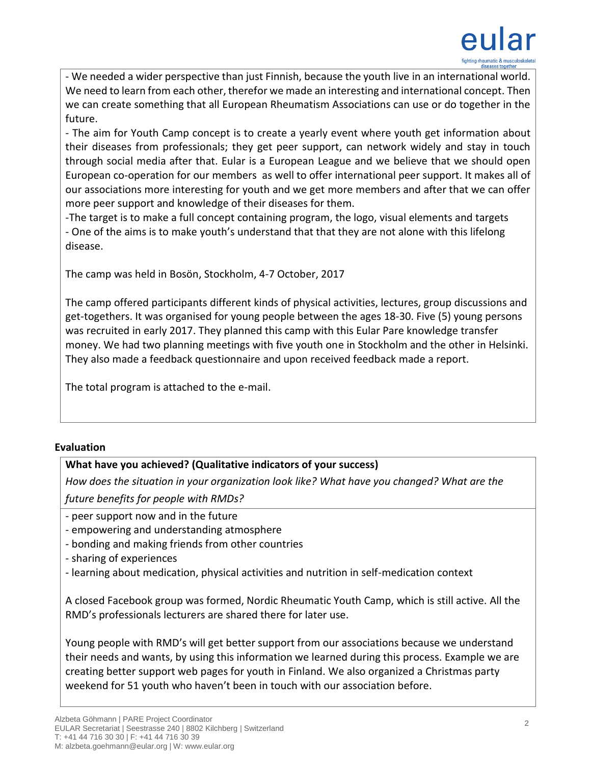

- We needed a wider perspective than just Finnish, because the youth live in an international world. We need to learn from each other, therefor we made an interesting and international concept. Then we can create something that all European Rheumatism Associations can use or do together in the future.

- The aim for Youth Camp concept is to create a yearly event where youth get information about their diseases from professionals; they get peer support, can network widely and stay in touch through social media after that. Eular is a European League and we believe that we should open European co-operation for our members as well to offer international peer support. It makes all of our associations more interesting for youth and we get more members and after that we can offer more peer support and knowledge of their diseases for them.

-The target is to make a full concept containing program, the logo, visual elements and targets - One of the aims is to make youth's understand that that they are not alone with this lifelong disease.

The camp was held in Bosön, Stockholm, 4-7 October, 2017

The camp offered participants different kinds of physical activities, lectures, group discussions and get-togethers. It was organised for young people between the ages 18-30. Five (5) young persons was recruited in early 2017. They planned this camp with this Eular Pare knowledge transfer money. We had two planning meetings with five youth one in Stockholm and the other in Helsinki. They also made a feedback questionnaire and upon received feedback made a report.

The total program is attached to the e-mail.

# **Evaluation**

# **What have you achieved? (Qualitative indicators of your success)**

*How does the situation in your organization look like? What have you changed? What are the future benefits for people with RMDs?* 

- peer support now and in the future

- empowering and understanding atmosphere
- bonding and making friends from other countries
- sharing of experiences
- learning about medication, physical activities and nutrition in self-medication context

A closed Facebook group was formed, Nordic Rheumatic Youth Camp, which is still active. All the RMD's professionals lecturers are shared there for later use.

Young people with RMD's will get better support from our associations because we understand their needs and wants, by using this information we learned during this process. Example we are creating better support web pages for youth in Finland. We also organized a Christmas party weekend for 51 youth who haven't been in touch with our association before.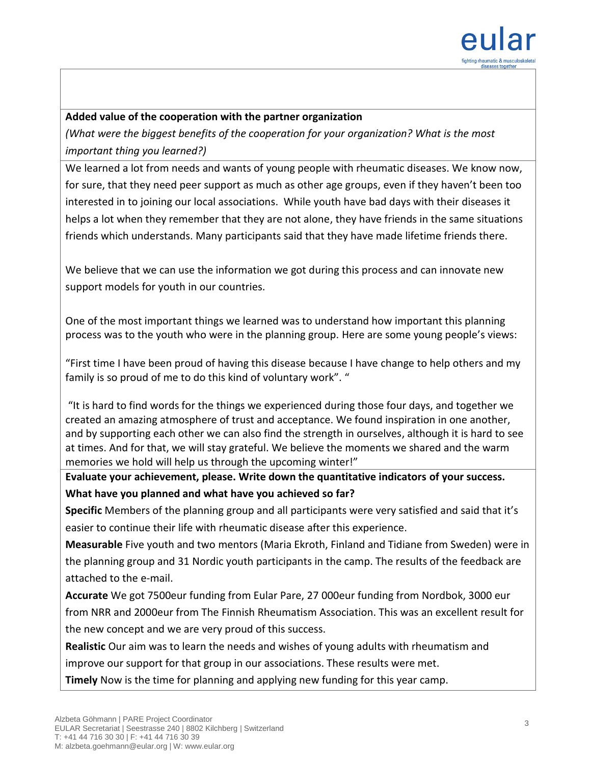

## **Added value of the cooperation with the partner organization**

*(What were the biggest benefits of the cooperation for your organization? What is the most important thing you learned?)*

We learned a lot from needs and wants of young people with rheumatic diseases. We know now, for sure, that they need peer support as much as other age groups, even if they haven't been too interested in to joining our local associations. While youth have bad days with their diseases it helps a lot when they remember that they are not alone, they have friends in the same situations friends which understands. Many participants said that they have made lifetime friends there.

We believe that we can use the information we got during this process and can innovate new support models for youth in our countries.

One of the most important things we learned was to understand how important this planning process was to the youth who were in the planning group. Here are some young people's views:

"First time I have been proud of having this disease because I have change to help others and my family is so proud of me to do this kind of voluntary work". "

"It is hard to find words for the things we experienced during those four days, and together we created an amazing atmosphere of trust and acceptance. We found inspiration in one another, and by supporting each other we can also find the strength in ourselves, although it is hard to see at times. And for that, we will stay grateful. We believe the moments we shared and the warm memories we hold will help us through the upcoming winter!"

**Evaluate your achievement, please. Write down the quantitative indicators of your success. What have you planned and what have you achieved so far?** 

**Specific** Members of the planning group and all participants were very satisfied and said that it's easier to continue their life with rheumatic disease after this experience.

**Measurable** Five youth and two mentors (Maria Ekroth, Finland and Tidiane from Sweden) were in the planning group and 31 Nordic youth participants in the camp. The results of the feedback are attached to the e-mail.

**Accurate** We got 7500eur funding from Eular Pare, 27 000eur funding from Nordbok, 3000 eur from NRR and 2000eur from The Finnish Rheumatism Association. This was an excellent result for the new concept and we are very proud of this success.

**Realistic** Our aim was to learn the needs and wishes of young adults with rheumatism and

improve our support for that group in our associations. These results were met.

**Timely** Now is the time for planning and applying new funding for this year camp.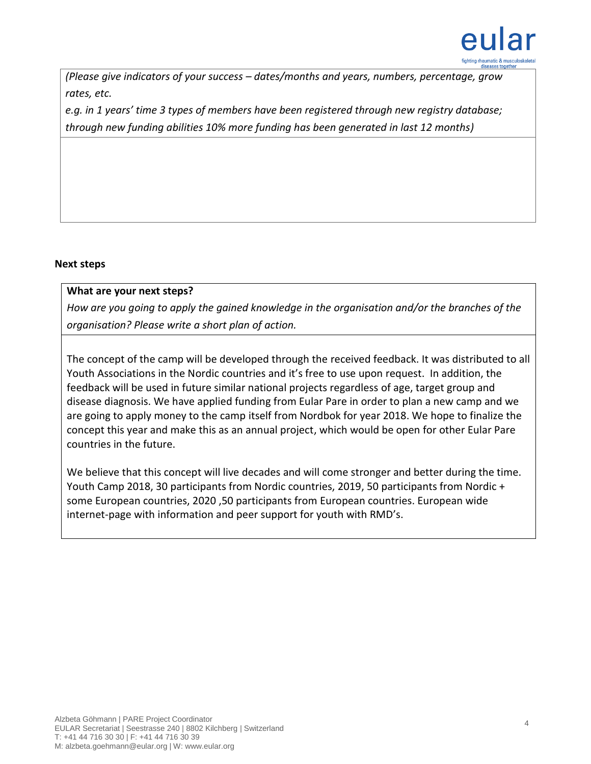

*(Please give indicators of your success – dates/months and years, numbers, percentage, grow rates, etc.*

*e.g. in 1 years' time 3 types of members have been registered through new registry database; through new funding abilities 10% more funding has been generated in last 12 months)*

### **Next steps**

### **What are your next steps?**

*How are you going to apply the gained knowledge in the organisation and/or the branches of the organisation? Please write a short plan of action.* 

The concept of the camp will be developed through the received feedback. It was distributed to all Youth Associations in the Nordic countries and it's free to use upon request. In addition, the feedback will be used in future similar national projects regardless of age, target group and disease diagnosis. We have applied funding from Eular Pare in order to plan a new camp and we are going to apply money to the camp itself from Nordbok for year 2018. We hope to finalize the concept this year and make this as an annual project, which would be open for other Eular Pare countries in the future.

We believe that this concept will live decades and will come stronger and better during the time. Youth Camp 2018, 30 participants from Nordic countries, 2019, 50 participants from Nordic + some European countries, 2020 ,50 participants from European countries. European wide internet-page with information and peer support for youth with RMD's.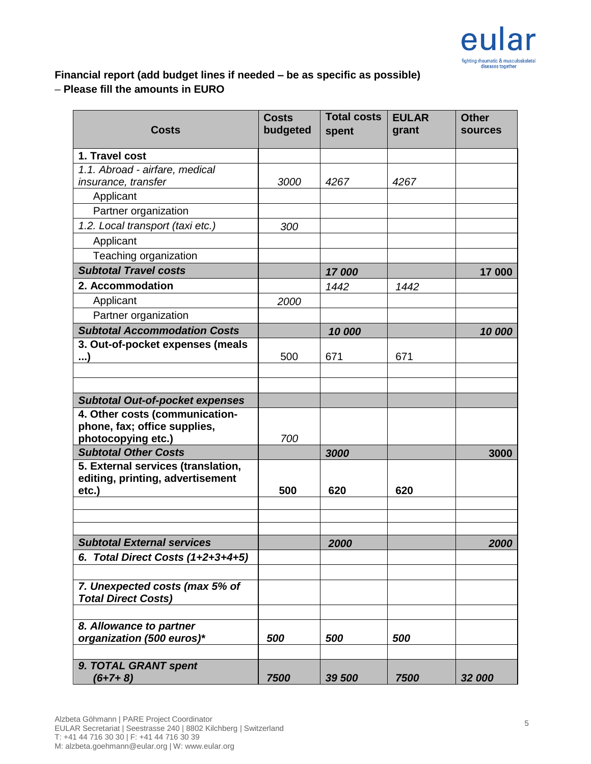

# **Financial report (add budget lines if needed – be as specific as possible) – Please fill the amounts in EURO**

| <b>Costs</b>                                                           | <b>Costs</b><br>budgeted | <b>Total costs</b><br>spent | <b>EULAR</b><br>grant | <b>Other</b><br><b>sources</b> |
|------------------------------------------------------------------------|--------------------------|-----------------------------|-----------------------|--------------------------------|
| 1. Travel cost                                                         |                          |                             |                       |                                |
| 1.1. Abroad - airfare, medical                                         |                          |                             |                       |                                |
| insurance, transfer                                                    | 3000                     | 4267                        | 4267                  |                                |
| Applicant                                                              |                          |                             |                       |                                |
| Partner organization                                                   |                          |                             |                       |                                |
| 1.2. Local transport (taxi etc.)                                       | 300                      |                             |                       |                                |
| Applicant                                                              |                          |                             |                       |                                |
| Teaching organization                                                  |                          |                             |                       |                                |
| <b>Subtotal Travel costs</b>                                           |                          | 17000                       |                       | 17 000                         |
| 2. Accommodation                                                       |                          | 1442                        | 1442                  |                                |
| Applicant                                                              | 2000                     |                             |                       |                                |
| Partner organization                                                   |                          |                             |                       |                                |
| <b>Subtotal Accommodation Costs</b>                                    |                          | 10 000                      |                       | 10 000                         |
| 3. Out-of-pocket expenses (meals                                       |                          |                             |                       |                                |
| (…                                                                     | 500                      | 671                         | 671                   |                                |
|                                                                        |                          |                             |                       |                                |
|                                                                        |                          |                             |                       |                                |
| <b>Subtotal Out-of-pocket expenses</b>                                 |                          |                             |                       |                                |
| 4. Other costs (communication-                                         |                          |                             |                       |                                |
| phone, fax; office supplies,                                           |                          |                             |                       |                                |
| photocopying etc.)                                                     | 700                      |                             |                       |                                |
| <b>Subtotal Other Costs</b>                                            |                          | 3000                        |                       | 3000                           |
| 5. External services (translation,<br>editing, printing, advertisement |                          |                             |                       |                                |
| etc.                                                                   | 500                      | 620                         | 620                   |                                |
|                                                                        |                          |                             |                       |                                |
|                                                                        |                          |                             |                       |                                |
|                                                                        |                          |                             |                       |                                |
| <b>Subtotal External services</b>                                      |                          | 2000                        |                       | 2000                           |
| 6. Total Direct Costs $(1+2+3+4+5)$                                    |                          |                             |                       |                                |
| 7. Unexpected costs (max 5% of                                         |                          |                             |                       |                                |
| <b>Total Direct Costs)</b>                                             |                          |                             |                       |                                |
| 8. Allowance to partner                                                |                          |                             |                       |                                |
| organization (500 euros)*                                              | 500                      | 500                         | 500                   |                                |
|                                                                        |                          |                             |                       |                                |
| 9. TOTAL GRANT spent<br>$(6+7+8)$                                      | 7500                     | 39 500                      | 7500                  | 32 000                         |